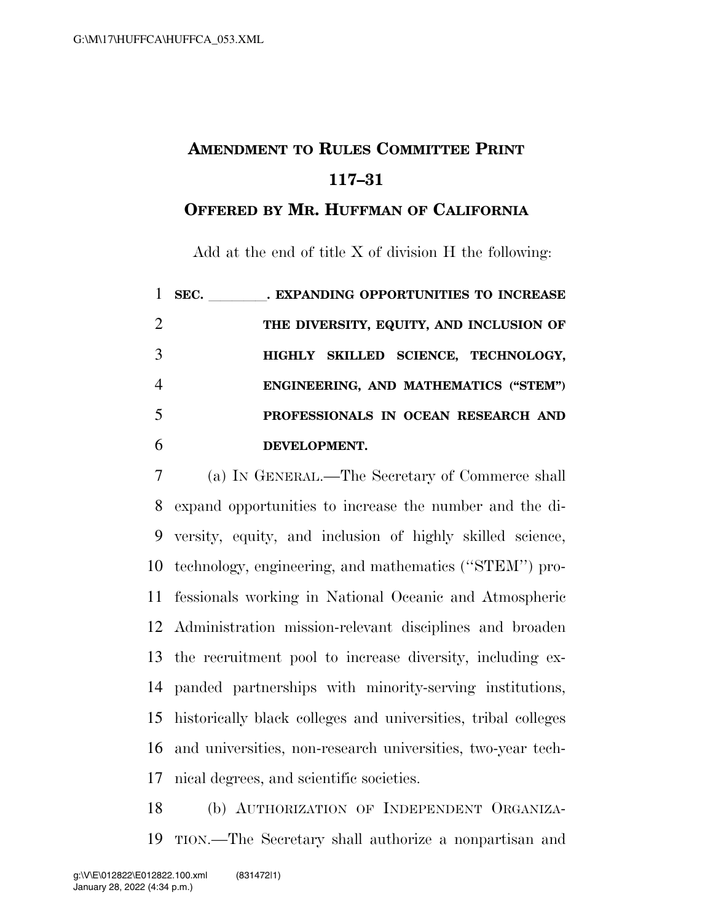## **AMENDMENT TO RULES COMMITTEE PRINT 117–31**

## **OFFERED BY MR. HUFFMAN OF CALIFORNIA**

Add at the end of title X of division H the following:

|   | SEC. | . EXPANDING OPPORTUNITIES TO INCREASE   |
|---|------|-----------------------------------------|
| 2 |      | THE DIVERSITY, EQUITY, AND INCLUSION OF |
| 3 |      | HIGHLY SKILLED SCIENCE, TECHNOLOGY,     |
| 4 |      | ENGINEERING, AND MATHEMATICS ("STEM")   |
| 5 |      | PROFESSIONALS IN OCEAN RESEARCH AND     |
| 6 |      | DEVELOPMENT.                            |

 (a) IN GENERAL.—The Secretary of Commerce shall expand opportunities to increase the number and the di- versity, equity, and inclusion of highly skilled science, technology, engineering, and mathematics (''STEM'') pro- fessionals working in National Oceanic and Atmospheric Administration mission-relevant disciplines and broaden the recruitment pool to increase diversity, including ex- panded partnerships with minority-serving institutions, historically black colleges and universities, tribal colleges and universities, non-research universities, two-year tech-nical degrees, and scientific societies.

 (b) AUTHORIZATION OF INDEPENDENT ORGANIZA-TION.—The Secretary shall authorize a nonpartisan and